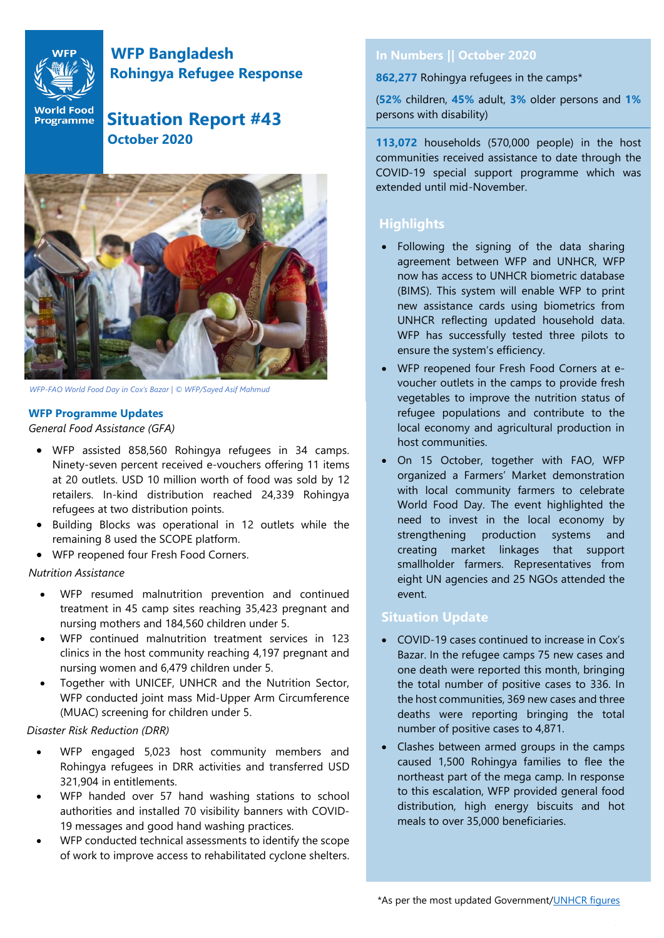

# **WFP Bangladesh Rohingya Refugee Response**

**World Food** Situation Report #43  **October 2020**



*WFP-FAO World Food Day in Cox's Bazar | © WFP/Sayed Asif Mahmud*

#### **WFP Programme Updates**

 $\emph{General Food Assistantce (GFA)}$ 

- WFP assisted 858,560 Rohingya refugees in 34 camps. Ninety-seven percent received e-vouchers offering 11 items at 20 outlets. USD 10 million worth of food was sold by 12 retailers. In-kind distribution reached 24,339 Rohingya refugees at two distribution points.
- Building Blocks was operational in 12 outlets while the remaining 8 used the SCOPE platform.
- WFP reopened four Fresh Food Corners.

#### *Nutrition Assistance*

- WFP resumed malnutrition prevention and continued treatment in 45 camp sites reaching 35,423 pregnant and nursing mothers and 184,560 children under 5.
- WFP continued malnutrition treatment services in 123 clinics in the host community reaching 4,197 pregnant and nursing women and 6,479 children under 5.
- Together with UNICEF, UNHCR and the Nutrition Sector, WFP conducted joint mass Mid-Upper Arm Circumference (MUAC) screening for children under 5.

## *Disaster Risk Reduction (DRR)*

- WFP engaged 5,023 host community members and Rohingya refugees in DRR activities and transferred USD 321,904 in entitlements.
- WFP handed over 57 hand washing stations to school authorities and installed 70 visibility banners with COVID-19 messages and good hand washing practices.
- WFP conducted technical assessments to identify the scope of work to improve access to rehabilitated cyclone shelters.

## **In Numbers || October 2020**

**862,277** Rohingya refugees in the camps\*

(**52%** children, **45%** adult, **3%** older persons and **1%** persons with disability)

**113,072** households (570,000 people) in the host communities received assistance to date through the COVID-19 special support programme which was extended until mid-November.

## **Hig Highlights**

- Following the signing of the data sharing agreement between WFP and UNHCR, WFP now has access to UNHCR biometric database (BIMS). This system will enable WFP to print new assistance cards using biometrics from UNHCR reflecting updated household data. WFP has successfully tested three pilots to ensure the system's efficiency.
- WFP reopened four Fresh Food Corners at evoucher outlets in the camps to provide fresh vegetables to improve the nutrition status of refugee populations and contribute to the local economy and agricultural production in host communities.
- On 15 October, together with FAO, WFP organized a Farmers' Market demonstration with local community farmers to celebrate World Food Day. The event highlighted the need to invest in the local economy by strengthening production systems and creating market linkages that support smallholder farmers. Representatives from eight UN agencies and 25 NGOs attended the event.

## **Situation Update**

- COVID-19 cases continued to increase in Cox's Bazar. In the refugee camps 75 new cases and one death were reported this month, bringing the total number of positive cases to 336. In the host communities, 369 new cases and three deaths were reporting bringing the total number of positive cases to 4,871.
- Clashes between armed groups in the camps caused 1,500 Rohingya families to flee the northeast part of the mega camp. In response to this escalation, WFP provided general food distribution, high energy biscuits and hot meals to over 35,000 beneficiaries.

\*As per the most updated Government[/UNHCR figures](https://data2.unhcr.org/en/documents/details/82872)

Page | **1**